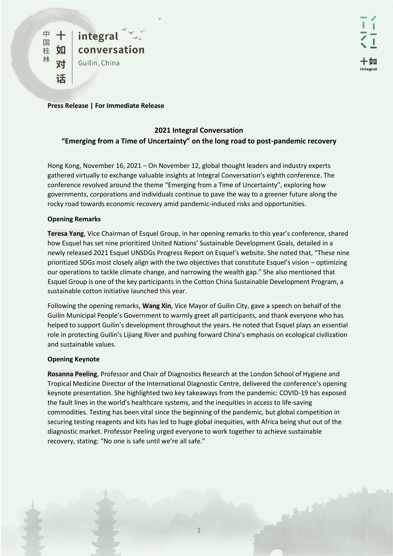**Press Release | For Immediate Release** 

# **2021 Integral Conversation "Emerging from a Time of Uncertainty" on the long road to post-pandemic recovery**

Hong Kong, November 16, 2021 – On November 12, global thought leaders and industry experts gathered virtually to exchange valuable insights at Integral Conversation's eighth conference. The conference revolved around the theme "Emerging from a Time of Uncertainty", exploring how governments, corporations and individuals continue to pave the way to a greener future along the rocky road towards economic recovery amid pandemic-induced risks and opportunities.

## **Opening Remarks**

**Teresa Yang**, Vice Chairman of Esquel Group, in her opening remarks to this year's conference, shared how Esquel has set nine prioritized United Nations' Sustainable Development Goals, detailed in a newly released 2021 Esquel UNSDGs Progress Report on Esquel's website. She noted that, "These nine prioritized SDGs most closely align with the two objectives that constitute Esquel's vision – optimizing our operations to tackle climate change, and narrowing the wealth gap." She also mentioned that Esquel Group is one of the key participants in the Cotton China Sustainable Development Program, a sustainable cotton initiative launched this year.

Following the opening remarks, **Wang Xin**, Vice Mayor of Guilin City, gave a speech on behalf of the Guilin Municipal People's Government to warmly greet all participants, and thank everyone who has helped to support Guilin's development throughout the years. He noted that Esquel plays an essential role in protecting Guilin's Lijiang River and pushing forward China's emphasis on ecological civilization and sustainable values.

## **Opening Keynote**

**Rosanna Peeling**, Professor and Chair of Diagnostics Research at the London School of Hygiene and Tropical Medicine Director of the International Diagnostic Centre, delivered the conference's opening keynote presentation. She highlighted two key takeaways from the pandemic: COVID-19 has exposed the fault lines in the world's healthcare systems, and the inequities in access to life-saving commodities. Testing has been vital since the beginning of the pandemic, but global competition in securing testing reagents and kits has led to huge global inequities, with Africa being shut out of the diagnostic market. Professor Peeling urged everyone to work together to achieve sustainable recovery, stating: "No one is safe until we're all safe."

**COMPANY**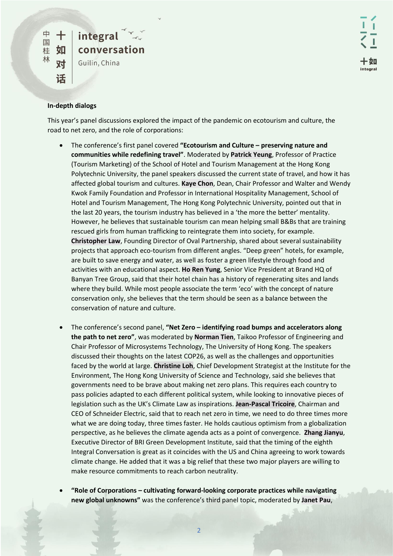### **In-depth dialogs**

This year's panel discussions explored the impact of the pandemic on ecotourism and culture, the road to net zero, and the role of corporations:

- The conference's first panel covered **"Ecotourism and Culture – preserving nature and communities while redefining travel"**. Moderated by **Patrick Yeung**, Professor of Practice (Tourism Marketing) of the School of Hotel and Tourism Management at the Hong Kong Polytechnic University, the panel speakers discussed the current state of travel, and how it has affected global tourism and cultures. **Kaye Chon**, Dean, Chair Professor and Walter and Wendy Kwok Family Foundation and Professor in International Hospitality Management, School of Hotel and Tourism Management, The Hong Kong Polytechnic University, pointed out that in the last 20 years, the tourism industry has believed in a 'the more the better' mentality. However, he believes that sustainable tourism can mean helping small B&Bs that are training rescued girls from human trafficking to reintegrate them into society, for example. **Christopher Law**, Founding Director of Oval Partnership, shared about several sustainability projects that approach eco-tourism from different angles. "Deep green" hotels, for example, are built to save energy and water, as well as foster a green lifestyle through food and activities with an educational aspect. **Ho Ren Yung**, Senior Vice President at Brand HQ of Banyan Tree Group, said that their hotel chain has a history of regenerating sites and lands where they build. While most people associate the term 'eco' with the concept of nature conservation only, she believes that the term should be seen as a balance between the conservation of nature and culture.
- The conference's second panel, **"Net Zero – identifying road bumps and accelerators along the path to net zero"**, was moderated by **Norman Tien**, Taikoo Professor of Engineering and Chair Professor of Microsystems Technology, The University of Hong Kong. The speakers discussed their thoughts on the latest COP26, as well as the challenges and opportunities faced by the world at large. **Christine Loh**, Chief Development Strategist at the Institute for the Environment, The Hong Kong University of Science and Technology, said she believes that governments need to be brave about making net zero plans. This requires each country to pass policies adapted to each different political system, while looking to innovative pieces of legislation such as the UK's Climate Law as inspirations. **Jean-Pascal Tricoire**, Chairman and CEO of Schneider Electric, said that to reach net zero in time, we need to do three times more what we are doing today, three times faster. He holds cautious optimism from a globalization perspective, as he believes the climate agenda acts as a point of convergence. **Zhang Jianyu**, Executive Director of BRI Green Development Institute, said that the timing of the eighth Integral Conversation is great as it coincides with the US and China agreeing to work towards climate change. He added that it was a big relief that these two major players are willing to make resource commitments to reach carbon neutrality.
- **"Role of Corporations – cultivating forward-looking corporate practices while navigating new global unknowns"** was the conference's third panel topic, moderated by **Janet Pau**,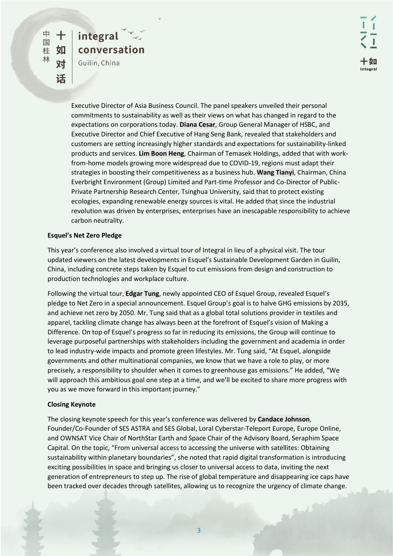integral

Guilin, China

conversation

Executive Director of Asia Business Council. The panel speakers unveiled their personal commitments to sustainability as well as their views on what has changed in regard to the expectations on corporations today. **Diana Cesar**, Group General Manager of HSBC, and Executive Director and Chief Executive of Hang Seng Bank, revealed that stakeholders and customers are setting increasingly higher standards and expectations for sustainability-linked products and services. **Lim Boon Heng**, Chairman of Temasek Holdings, added that with workfrom-home models growing more widespread due to COVID-19, regions must adapt their strategies in boosting their competitiveness as a business hub. **Wang Tianyi**, Chairman, China Everbright Environment (Group) Limited and Part-time Professor and Co-Director of Public-Private Partnership Research Center, Tsinghua University, said that to protect existing ecologies, expanding renewable energy sources is vital. He added that since the industrial revolution was driven by enterprises, enterprises have an inescapable responsibility to achieve carbon neutrality.

#### **Esquel's Net Zero Pledge**

This year's conference also involved a virtual tour of Integral in lieu of a physical visit. The tour updated viewers on the latest developments in Esquel's Sustainable Development Garden in Guilin, China, including concrete steps taken by Esquel to cut emissions from design and construction to production technologies and workplace culture.

Following the virtual tour, **Edgar Tung**, newly appointed CEO of Esquel Group, revealed Esquel's pledge to Net Zero in a special announcement. Esquel Group's goal is to halve GHG emissions by 2035, and achieve net zero by 2050. Mr. Tung said that as a global total solutions provider in textiles and apparel, tackling climate change has always been at the forefront of Esquel's vision of Making a Difference. On top of Esquel's progress so far in reducing its emissions, the Group will continue to leverage purposeful partnerships with stakeholders including the government and academia in order to lead industry-wide impacts and promote green lifestyles. Mr. Tung said, "At Esquel, alongside governments and other multinational companies, we know that we have a role to play, or more precisely, a responsibility to shoulder when it comes to greenhouse gas emissions." He added, "We will approach this ambitious goal one step at a time, and we'll be excited to share more progress with you as we move forward in this important journey."

## **Closing Keynote**

The closing keynote speech for this year's conference was delivered by **Candace Johnson**, Founder/Co-Founder of SES ASTRA and SES Global, Loral Cyberstar-Teleport Europe, Europe Online, and OWNSAT Vice Chair of NorthStar Earth and Space Chair of the Advisory Board, Seraphim Space Capital. On the topic, "From universal access to accessing the universe with satellites: Obtaining sustainability within planetary boundaries", she noted that rapid digital transformation is introducing exciting possibilities in space and bringing us closer to universal access to data, inviting the next generation of entrepreneurs to step up. The rise of global temperature and disappearing ice caps have been tracked over decades through satellites, allowing us to recognize the urgency of climate change.

**WANKS**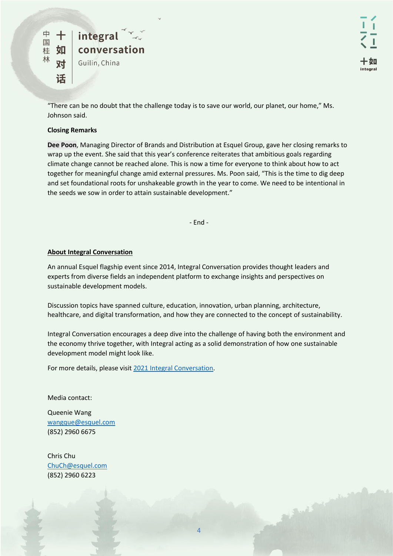

"There can be no doubt that the challenge today is to save our world, our planet, our home," Ms. Johnson said.

#### **Closing Remarks**

**Dee Poon**, Managing Director of Brands and Distribution at Esquel Group, gave her closing remarks to wrap up the event. She said that this year's conference reiterates that ambitious goals regarding climate change cannot be reached alone. This is now a time for everyone to think about how to act together for meaningful change amid external pressures. Ms. Poon said, "This is the time to dig deep and set foundational roots for unshakeable growth in the year to come. We need to be intentional in the seeds we sow in order to attain sustainable development."

- End -

#### **About Integral Conversation**

An annual Esquel flagship event since 2014, Integral Conversation provides thought leaders and experts from diverse fields an independent platform to exchange insights and perspectives on sustainable development models.

Discussion topics have spanned culture, education, innovation, urban planning, architecture, healthcare, and digital transformation, and how they are connected to the concept of sustainability.

Integral Conversation encourages a deep dive into the challenge of having both the environment and the economy thrive together, with Integral acting as a solid demonstration of how one sustainable development model might look like.

For more details, please visit [2021 Integral Conversation.](https://www.integral-conversation.com/)

Media contact:

Queenie Wang [wangque@esquel.com](mailto:wangque@esquel.com) (852) 2960 6675

Chris Chu [ChuCh@esquel.com](mailto:ChuCh@esquel.com) (852) 2960 6223

4

**CONTRACTOR**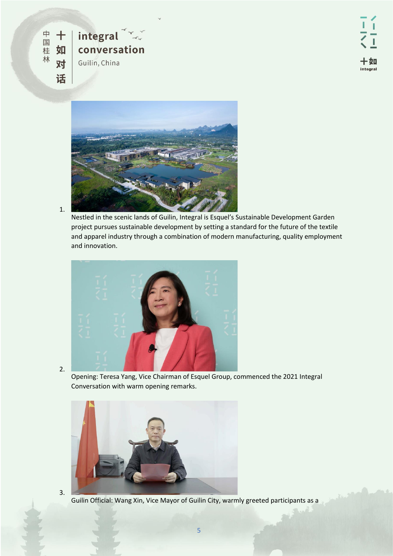



Nestled in the scenic lands of Guilin, Integral is Esquel's Sustainable Development Garden project pursues sustainable development by setting a standard for the future of the textile and apparel industry through a combination of modern manufacturing, quality employment and innovation.



2.

3.

1.

Opening: Teresa Yang, Vice Chairman of Esquel Group, commenced the 2021 Integral Conversation with warm opening remarks.



Guilin Official: Wang Xin, Vice Mayor of Guilin City, warmly greeted participants as a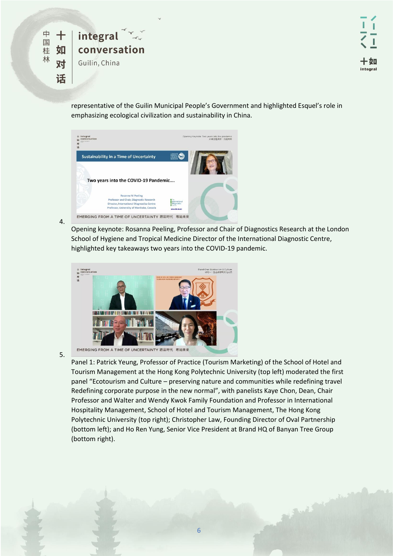

representative of the Guilin Municipal People's Government and highlighted Esquel's role in emphasizing ecological civilization and sustainability in China.



4.

Opening keynote: Rosanna Peeling, Professor and Chair of Diagnostics Research at the London School of Hygiene and Tropical Medicine Director of the International Diagnostic Centre, highlighted key takeaways two years into the COVID-19 pandemic.



5.

Panel 1: Patrick Yeung, Professor of Practice (Tourism Marketing) of the School of Hotel and Tourism Management at the Hong Kong Polytechnic University (top left) moderated the first panel "Ecotourism and Culture – preserving nature and communities while redefining travel Redefining corporate purpose in the new normal", with panelists Kaye Chon, Dean, Chair Professor and Walter and Wendy Kwok Family Foundation and Professor in International Hospitality Management, School of Hotel and Tourism Management, The Hong Kong Polytechnic University (top right); Christopher Law, Founding Director of Oval Partnership (bottom left); and Ho Ren Yung, Senior Vice President at Brand HQ of Banyan Tree Group (bottom right).

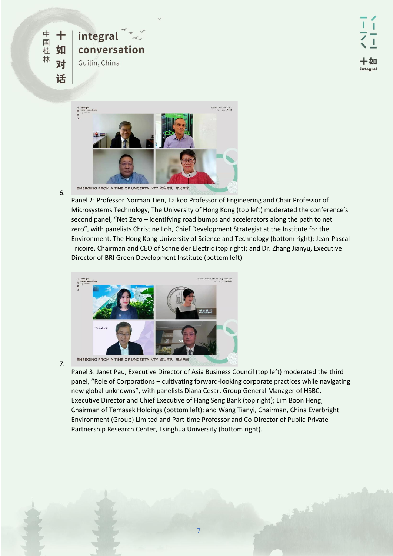



6.

Panel 2: Professor Norman Tien, Taikoo Professor of Engineering and Chair Professor of Microsystems Technology, The University of Hong Kong (top left) moderated the conference's second panel, "Net Zero – identifying road bumps and accelerators along the path to net zero", with panelists Christine Loh, Chief Development Strategist at the Institute for the Environment, The Hong Kong University of Science and Technology (bottom right); Jean-Pascal Tricoire, Chairman and CEO of Schneider Electric (top right); and Dr. Zhang Jianyu, Executive Director of BRI Green Development Institute (bottom left).



7.

Panel 3: Janet Pau, Executive Director of Asia Business Council (top left) moderated the third panel, "Role of Corporations – cultivating forward-looking corporate practices while navigating new global unknowns", with panelists Diana Cesar, Group General Manager of HSBC, Executive Director and Chief Executive of Hang Seng Bank (top right); Lim Boon Heng, Chairman of Temasek Holdings (bottom left); and Wang Tianyi, Chairman, China Everbright Environment (Group) Limited and Part-time Professor and Co-Director of Public-Private Partnership Research Center, Tsinghua University (bottom right).

7

**CONTRACTOR**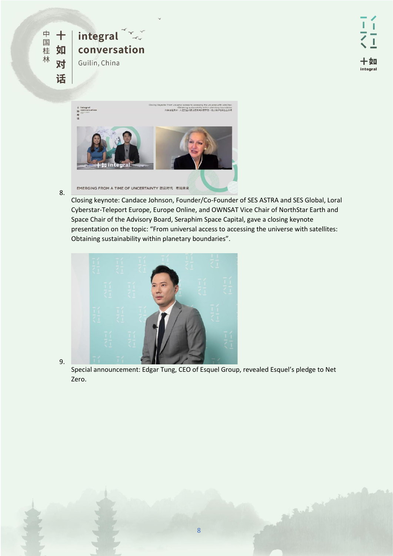

8.

9.



Closing keynote: Candace Johnson, Founder/Co-Founder of SES ASTRA and SES Global, Loral Cyberstar-Teleport Europe, Europe Online, and OWNSAT Vice Chair of NorthStar Earth and Space Chair of the Advisory Board, Seraphim Space Capital, gave a closing keynote presentation on the topic: "From universal access to accessing the universe with satellites: Obtaining sustainability within planetary boundaries".



Special announcement: Edgar Tung, CEO of Esquel Group, revealed Esquel's pledge to Net Zero.



**COMPANY**